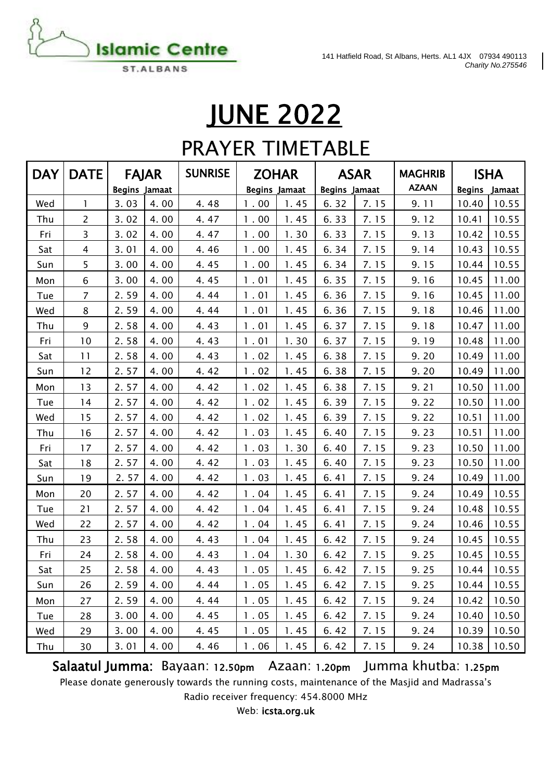

### **JUNE 2022**

### PRAYER TIMETABLE

| <b>DAY</b> | <b>DATE</b>    | <b>FAJAR</b>         |      | <b>SUNRISE</b> |                      | <b>ZOHAR</b> | <b>ASAR</b>          |      | <b>MAGHRIB</b> | <b>ISHA</b>   |        |
|------------|----------------|----------------------|------|----------------|----------------------|--------------|----------------------|------|----------------|---------------|--------|
|            |                | <b>Begins Jamaat</b> |      |                | <b>Begins Jamaat</b> |              | <b>Begins Jamaat</b> |      | <b>AZAAN</b>   | <b>Begins</b> | Jamaat |
| Wed        | $\mathbf{1}$   | 3.03                 | 4.00 | 4.48           | 1.00                 | 1.45         | 6.32                 | 7.15 | 9.11           | 10.40         | 10.55  |
| Thu        | $\overline{2}$ | 3.02                 | 4.00 | 4.47           | 1.00                 | 1.45         | 6.33                 | 7.15 | 9.12           | 10.41         | 10.55  |
| Fri        | 3              | 3.02                 | 4.00 | 4.47           | 1.00                 | 1.30         | 6.33                 | 7.15 | 9.13           | 10.42         | 10.55  |
| Sat        | 4              | 3.01                 | 4.00 | 4.46           | 1.00                 | 1.45         | 6.34                 | 7.15 | 9.14           | 10.43         | 10.55  |
| Sun        | 5              | 3.00                 | 4.00 | 4.45           | 1.00                 | 1.45         | 6.34                 | 7.15 | 9.15           | 10.44         | 10.55  |
| Mon        | 6              | 3.00                 | 4.00 | 4.45           | 1.01                 | 1.45         | 6.35                 | 7.15 | 9.16           | 10.45         | 11.00  |
| Tue        | 7              | 2.59                 | 4.00 | 4.44           | 1.01                 | 1.45         | 6.36                 | 7.15 | 9.16           | 10.45         | 11.00  |
| Wed        | 8              | 2.59                 | 4.00 | 4.44           | 1.01                 | 1.45         | 6.36                 | 7.15 | 9.18           | 10.46         | 11.00  |
| Thu        | 9              | 2.58                 | 4.00 | 4.43           | 1.01                 | 1.45         | 6.37                 | 7.15 | 9.18           | 10.47         | 11.00  |
| Fri        | 10             | 2.58                 | 4.00 | 4.43           | 1.01                 | 1.30         | 6.37                 | 7.15 | 9.19           | 10.48         | 11.00  |
| Sat        | 11             | 2.58                 | 4.00 | 4.43           | 1.02                 | 1.45         | 6.38                 | 7.15 | 9.20           | 10.49         | 11.00  |
| Sun        | 12             | 2.57                 | 4.00 | 4.42           | 1.02                 | 1.45         | 6.38                 | 7.15 | 9.20           | 10.49         | 11.00  |
| Mon        | 13             | 2.57                 | 4.00 | 4.42           | 1.02                 | 1.45         | 6.38                 | 7.15 | 9.21           | 10.50         | 11.00  |
| Tue        | 14             | 2.57                 | 4.00 | 4.42           | 1.02                 | 1.45         | 6.39                 | 7.15 | 9.22           | 10.50         | 11.00  |
| Wed        | 15             | 2.57                 | 4.00 | 4.42           | 1.02                 | 1.45         | 6.39                 | 7.15 | 9.22           | 10.51         | 11.00  |
| Thu        | 16             | 2.57                 | 4.00 | 4.42           | 1.03                 | 1.45         | 6.40                 | 7.15 | 9.23           | 10.51         | 11.00  |
| Fri        | 17             | 2.57                 | 4.00 | 4.42           | 1.03                 | 1.30         | 6.40                 | 7.15 | 9.23           | 10.50         | 11.00  |
| Sat        | 18             | 2.57                 | 4.00 | 4.42           | 1.03                 | 1.45         | 6.40                 | 7.15 | 9.23           | 10.50         | 11.00  |
| Sun        | 19             | 2.57                 | 4.00 | 4.42           | 1.03                 | 1.45         | 6.41                 | 7.15 | 9.24           | 10.49         | 11.00  |
| Mon        | 20             | 2.57                 | 4.00 | 4.42           | 1.04                 | 1.45         | 6.41                 | 7.15 | 9.24           | 10.49         | 10.55  |
| Tue        | 21             | 2.57                 | 4.00 | 4.42           | 1.04                 | 1.45         | 6.41                 | 7.15 | 9.24           | 10.48         | 10.55  |
| Wed        | 22             | 2.57                 | 4.00 | 4.42           | 1.04                 | 1.45         | 6.41                 | 7.15 | 9.24           | 10.46         | 10.55  |
| Thu        | 23             | 2.58                 | 4.00 | 4.43           | 1.04                 | 1.45         | 6.42                 | 7.15 | 9.24           | 10.45         | 10.55  |
| Fri        | 24             | 2.58                 | 4.00 | 4.43           | 1.04                 | 1.30         | 6.42                 | 7.15 | 9.25           | 10.45         | 10.55  |
| Sat        | 25             | 2.58                 | 4.00 | 4.43           | 1.05                 | 1.45         | 6.42                 | 7.15 | 9.25           | 10.44         | 10.55  |
| Sun        | 26             | 2.59                 | 4.00 | 4.44           | 1.05                 | 1.45         | 6.42                 | 7.15 | 9.25           | 10.44         | 10.55  |
| Mon        | 27             | 2.59                 | 4.00 | 4.44           | 1.05                 | 1.45         | 6.42                 | 7.15 | 9.24           | 10.42         | 10.50  |
| Tue        | 28             | 3.00                 | 4.00 | 4.45           | 1.05                 | 1.45         | 6.42                 | 7.15 | 9.24           | 10.40         | 10.50  |
| Wed        | 29             | 3.00                 | 4.00 | 4.45           | 1.05                 | 1.45         | 6.42                 | 7.15 | 9.24           | 10.39         | 10.50  |
| Thu        | 30             | 3.01                 | 4.00 | 4.46           | 1.06                 | 1.45         | 6.42                 | 7.15 | 9.24           | 10.38         | 10.50  |

Salaatul Jumma: Bayaan: 12.50pm Azaan: 1.20pm Jumma khutba: 1.25pm

Please donate generously towards the running costs, maintenance of the Masjid and Madrassa's

Radio receiver frequency: 454.8000 MHz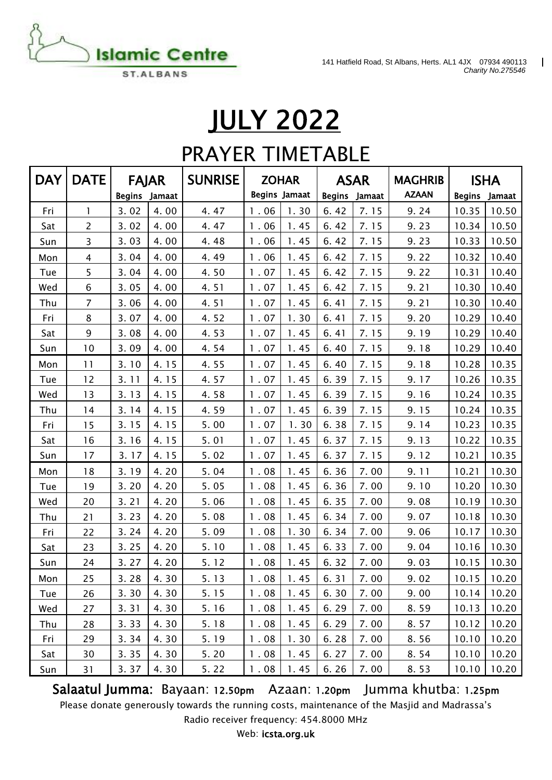$\mathbf{I}$ 



# JULY 2022

### PRAYER TIMETABLE

| <b>DAY</b> | <b>DATE</b>    | <b>FAJAR</b>  |      | <b>SUNRISE</b> |      | <b>ZOHAR</b>         | <b>ASAR</b>   |        | <b>MAGHRIB</b> |               | <b>ISHA</b> |
|------------|----------------|---------------|------|----------------|------|----------------------|---------------|--------|----------------|---------------|-------------|
|            |                | Begins Jamaat |      |                |      | <b>Begins Jamaat</b> | <b>Begins</b> | Jamaat | <b>AZAAN</b>   | <b>Begins</b> | Jamaat      |
| Fri        | 1              | 3.02          | 4.00 | 4.47           | 1.06 | 1.30                 | 6.42          | 7.15   | 9.24           | 10.35         | 10.50       |
| Sat        | $\overline{2}$ | 3.02          | 4.00 | 4.47           | 1.06 | 1.45                 | 6.42          | 7.15   | 9.23           | 10.34         | 10.50       |
| Sun        | 3              | 3.03          | 4.00 | 4.48           | 1.06 | 1.45                 | 6.42          | 7.15   | 9.23           | 10.33         | 10.50       |
| Mon        | $\overline{4}$ | 3.04          | 4.00 | 4.49           | 1.06 | 1.45                 | 6.42          | 7.15   | 9.22           | 10.32         | 10.40       |
| Tue        | 5              | 3.04          | 4.00 | 4.50           | 1.07 | 1.45                 | 6.42          | 7.15   | 9.22           | 10.31         | 10.40       |
| Wed        | 6              | 3.05          | 4.00 | 4.51           | 1.07 | 1.45                 | 6.42          | 7.15   | 9.21           | 10.30         | 10.40       |
| Thu        | $\overline{7}$ | 3.06          | 4.00 | 4.51           | 1.07 | 1.45                 | 6.41          | 7.15   | 9.21           | 10.30         | 10.40       |
| Fri        | 8              | 3.07          | 4.00 | 4.52           | 1.07 | 1.30                 | 6.41          | 7.15   | 9.20           | 10.29         | 10.40       |
| Sat        | 9              | 3.08          | 4.00 | 4.53           | 1.07 | 1.45                 | 6.41          | 7.15   | 9.19           | 10.29         | 10.40       |
| Sun        | 10             | 3.09          | 4.00 | 4.54           | 1.07 | 1.45                 | 6.40          | 7.15   | 9.18           | 10.29         | 10.40       |
| Mon        | 11             | 3.10          | 4.15 | 4.55           | 1.07 | 1.45                 | 6.40          | 7.15   | 9.18           | 10.28         | 10.35       |
| Tue        | 12             | 3.11          | 4.15 | 4.57           | 1.07 | 1.45                 | 6.39          | 7.15   | 9.17           | 10.26         | 10.35       |
| Wed        | 13             | 3.13          | 4.15 | 4.58           | 1.07 | 1.45                 | 6.39          | 7.15   | 9.16           | 10.24         | 10.35       |
| Thu        | 14             | 3.14          | 4.15 | 4.59           | 1.07 | 1.45                 | 6.39          | 7.15   | 9.15           | 10.24         | 10.35       |
| Fri        | 15             | 3.15          | 4.15 | 5.00           | 1.07 | 1.30                 | 6.38          | 7.15   | 9.14           | 10.23         | 10.35       |
| Sat        | 16             | 3.16          | 4.15 | 5.01           | 1.07 | 1.45                 | 6.37          | 7.15   | 9.13           | 10.22         | 10.35       |
| Sun        | 17             | 3.17          | 4.15 | 5.02           | 1.07 | 1.45                 | 6.37          | 7.15   | 9.12           | 10.21         | 10.35       |
| Mon        | 18             | 3.19          | 4.20 | 5.04           | 1.08 | 1.45                 | 6.36          | 7.00   | 9.11           | 10.21         | 10.30       |
| Tue        | 19             | 3.20          | 4.20 | 5.05           | 1.08 | 1.45                 | 6.36          | 7.00   | 9.10           | 10.20         | 10.30       |
| Wed        | 20             | 3.21          | 4.20 | 5.06           | 1.08 | 1.45                 | 6.35          | 7.00   | 9.08           | 10.19         | 10.30       |
| Thu        | 21             | 3.23          | 4.20 | 5.08           | 1.08 | 1.45                 | 6.34          | 7.00   | 9.07           | 10.18         | 10.30       |
| Fri        | 22             | 3.24          | 4.20 | 5.09           | 1.08 | 1.30                 | 6.34          | 7.00   | 9.06           | 10.17         | 10.30       |
| Sat        | 23             | 3.25          | 4.20 | 5.10           | 1.08 | 1.45                 | 6.33          | 7.00   | 9.04           | 10.16         | 10.30       |
| Sun        | 24             | 3.27          | 4.20 | 5.12           | 1.08 | 1.45                 | 6.32          | 7.00   | 9.03           | 10.15         | 10.30       |
| Mon        | 25             | 3.28          | 4.30 | 5.13           | 1.08 | 1.45                 | 6.31          | 7.00   | 9.02           | 10.15         | 10.20       |
| Tue        | 26             | 3.30          | 4.30 | 5.15           | 1.08 | 1.45                 | 6.30          | 7.00   | 9.00           | 10.14         | 10.20       |
| Wed        | 27             | 3.31          | 4.30 | 5.16           | 1.08 | 1.45                 | 6.29          | 7.00   | 8.59           | 10.13         | 10.20       |
| Thu        | 28             | 3.33          | 4.30 | 5.18           | 1.08 | 1.45                 | 6.29          | 7.00   | 8.57           | 10.12         | 10.20       |
| Fri        | 29             | 3.34          | 4.30 | 5.19           | 1.08 | 1.30                 | 6.28          | 7.00   | 8.56           | 10.10         | 10.20       |
| Sat        | 30             | 3.35          | 4.30 | 5.20           | 1.08 | 1.45                 | 6.27          | 7.00   | 8.54           | 10.10         | 10.20       |
| Sun        | 31             | 3.37          | 4.30 | 5.22           | 1.08 | 1.45                 | 6.26          | 7.00   | 8.53           | 10.10         | 10.20       |

Salaatul Jumma: Bayaan: 12.50pm Azaan: 1.20pm Jumma khutba: 1.25pm

Please donate generously towards the running costs, maintenance of the Masjid and Madrassa's

Radio receiver frequency: 454.8000 MHz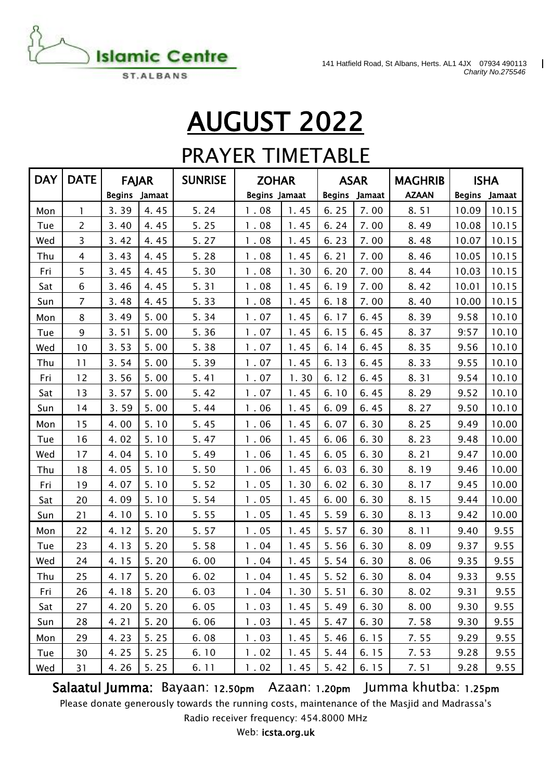

141 Hatfield Road, St Albans, Herts. AL1 4JX 07934 490113  $\blacksquare$ *Charity No.275546*

# AUGUST 2022

### PRAYER TIMETABLE

| <b>DAY</b> | <b>DATE</b>    | <b>FAJAR</b>  |      | <b>SUNRISE</b> | <b>ZOHAR</b>         |      | <b>ASAR</b>             |      | <b>MAGHRIB</b> | <b>ISHA</b>   |       |
|------------|----------------|---------------|------|----------------|----------------------|------|-------------------------|------|----------------|---------------|-------|
|            |                | Begins Jamaat |      |                | <b>Begins Jamaat</b> |      | <b>Begins</b><br>Jamaat |      | <b>AZAAN</b>   | Begins Jamaat |       |
| Mon        | 1.             | 3.39          | 4.45 | 5.24           | 1.08                 | 1.45 | 6.25                    | 7.00 | 8.51           | 10.09         | 10.15 |
| Tue        | 2              | 3.40          | 4.45 | 5.25           | 1.08                 | 1.45 | 6.24                    | 7.00 | 8.49           | 10.08         | 10.15 |
| Wed        | 3              | 3.42          | 4.45 | 5.27           | 1.08                 | 1.45 | 6.23                    | 7.00 | 8.48           | 10.07         | 10.15 |
| Thu        | $\overline{4}$ | 3.43          | 4.45 | 5.28           | 1.08                 | 1.45 | 6.21                    | 7.00 | 8.46           | 10.05         | 10.15 |
| Fri        | 5              | 3.45          | 4.45 | 5.30           | 1.08                 | 1.30 | 6.20                    | 7.00 | 8.44           | 10.03         | 10.15 |
| Sat        | 6              | 3.46          | 4.45 | 5.31           | 1.08                 | 1.45 | 6.19                    | 7.00 | 8.42           | 10.01         | 10.15 |
| Sun        | $\overline{7}$ | 3.48          | 4.45 | 5.33           | 1.08                 | 1.45 | 6.18                    | 7.00 | 8.40           | 10.00         | 10.15 |
| Mon        | 8              | 3.49          | 5.00 | 5.34           | 1.07                 | 1.45 | 6.17                    | 6.45 | 8.39           | 9.58          | 10.10 |
| Tue        | 9              | 3.51          | 5.00 | 5.36           | 1.07                 | 1.45 | 6.15                    | 6.45 | 8.37           | 9:57          | 10.10 |
| Wed        | 10             | 3.53          | 5.00 | 5.38           | 1.07                 | 1.45 | 6.14                    | 6.45 | 8.35           | 9.56          | 10.10 |
| Thu        | 11             | 3.54          | 5.00 | 5.39           | 1.07                 | 1.45 | 6.13                    | 6.45 | 8.33           | 9.55          | 10.10 |
| Fri        | 12             | 3.56          | 5.00 | 5.41           | 1.07                 | 1.30 | 6.12                    | 6.45 | 8.31           | 9.54          | 10.10 |
| Sat        | 13             | 3.57          | 5.00 | 5.42           | 1.07                 | 1.45 | 6.10                    | 6.45 | 8.29           | 9.52          | 10.10 |
| Sun        | 14             | 3.59          | 5.00 | 5.44           | 1.06                 | 1.45 | 6.09                    | 6.45 | 8.27           | 9.50          | 10.10 |
| Mon        | 15             | 4.00          | 5.10 | 5.45           | 1.06                 | 1.45 | 6.07                    | 6.30 | 8.25           | 9.49          | 10.00 |
| Tue        | 16             | 4.02          | 5.10 | 5.47           | 1.06                 | 1.45 | 6.06                    | 6.30 | 8.23           | 9.48          | 10.00 |
| Wed        | 17             | 4.04          | 5.10 | 5.49           | 1.06                 | 1.45 | 6.05                    | 6.30 | 8.21           | 9.47          | 10.00 |
| Thu        | 18             | 4.05          | 5.10 | 5.50           | 1.06                 | 1.45 | 6.03                    | 6.30 | 8.19           | 9.46          | 10.00 |
| Fri        | 19             | 4.07          | 5.10 | 5.52           | 1.05                 | 1.30 | 6.02                    | 6.30 | 8.17           | 9.45          | 10.00 |
| Sat        | 20             | 4.09          | 5.10 | 5.54           | 1.05                 | 1.45 | 6.00                    | 6.30 | 8.15           | 9.44          | 10.00 |
| Sun        | 21             | 4.10          | 5.10 | 5.55           | 1.05                 | 1.45 | 5.59                    | 6.30 | 8.13           | 9.42          | 10.00 |
| Mon        | 22             | 4.12          | 5.20 | 5.57           | 1.05                 | 1.45 | 5.57                    | 6.30 | 8.11           | 9.40          | 9.55  |
| Tue        | 23             | 4.13          | 5.20 | 5.58           | 1.04                 | 1.45 | 5.56                    | 6.30 | 8.09           | 9.37          | 9.55  |
| Wed        | 24             | 4.15          | 5.20 | 6.00           | 1.04                 | 1.45 | 5.54                    | 6.30 | 8.06           | 9.35          | 9.55  |
| Thu        | 25             | 4.17          | 5.20 | 6.02           | 1.04                 | 1.45 | 5.52                    | 6.30 | 8.04           | 9.33          | 9.55  |
| Fri        | 26             | 4.18          | 5.20 | 6.03           | 1.04                 | 1.30 | 5.51                    | 6.30 | 8.02           | 9.31          | 9.55  |
| Sat        | 27             | 4.20          | 5.20 | 6.05           | 1.03                 | 1.45 | 5.49                    | 6.30 | 8.00           | 9.30          | 9.55  |
| Sun        | 28             | 4.21          | 5.20 | 6.06           | 1.03                 | 1.45 | 5.47                    | 6.30 | 7.58           | 9.30          | 9.55  |
| Mon        | 29             | 4.23          | 5.25 | 6.08           | 1.03                 | 1.45 | 5.46                    | 6.15 | 7.55           | 9.29          | 9.55  |
| Tue        | 30             | 4.25          | 5.25 | 6.10           | 1.02                 | 1.45 | 5.44                    | 6.15 | 7.53           | 9.28          | 9.55  |
| Wed        | 31             | 4.26          | 5.25 | 6.11           | 1.02                 | 1.45 | 5.42                    | 6.15 | 7.51           | 9.28          | 9.55  |

Salaatul Jumma: Bayaan: 12.50pm Azaan: 1.20pm Jumma khutba: 1.25pm

Please donate generously towards the running costs, maintenance of the Masjid and Madrassa's Radio receiver frequency: 454.8000 MHz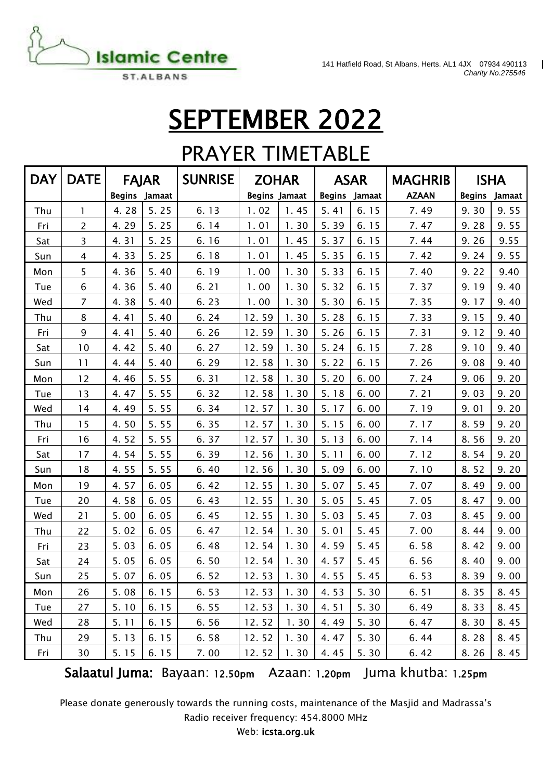

 $\mathbf{I}$ 

## SEPTEMBER 2022

### PRAYER TIMETABLE

| <b>DAY</b> | DATE           | <b>FAJAR</b>  |        | <b>SUNRISE</b> |                      | <b>ZOHAR</b> |               | <b>ASAR</b> | <b>MAGHRIB</b> | <b>ISHA</b>   |        |
|------------|----------------|---------------|--------|----------------|----------------------|--------------|---------------|-------------|----------------|---------------|--------|
|            |                | <b>Begins</b> | Jamaat |                | <b>Begins Jamaat</b> |              | <b>Begins</b> | Jamaat      | <b>AZAAN</b>   | <b>Begins</b> | Jamaat |
| Thu        | 1              | 4.28          | 5.25   | 6.13           | 1.02                 | 1.45         | 5.41          | 6.15        | 7.49           | 9.30          | 9.55   |
| Fri        | $\overline{2}$ | 4.29          | 5.25   | 6.14           | 1.01                 | 1.30         | 5.39          | 6.15        | 7.47           | 9.28          | 9.55   |
| Sat        | 3              | 4.31          | 5.25   | 6.16           | 1.01                 | 1.45         | 5.37          | 6.15        | 7.44           | 9.26          | 9.55   |
| Sun        | 4              | 4.33          | 5.25   | 6.18           | 1.01                 | 1.45         | 5.35          | 6.15        | 7.42           | 9.24          | 9.55   |
| Mon        | 5              | 4.36          | 5.40   | 6.19           | 1.00                 | 1.30         | 5.33          | 6.15        | 7.40           | 9.22          | 9.40   |
| Tue        | 6              | 4.36          | 5.40   | 6.21           | 1.00                 | 1.30         | 5.32          | 6.15        | 7.37           | 9.19          | 9.40   |
| Wed        | 7              | 4.38          | 5.40   | 6.23           | 1.00                 | 1.30         | 5.30          | 6.15        | 7.35           | 9.17          | 9.40   |
| Thu        | 8              | 4.41          | 5.40   | 6.24           | 12.59                | 1.30         | 5.28          | 6.15        | 7.33           | 9.15          | 9.40   |
| Fri        | 9              | 4.41          | 5.40   | 6.26           | 12.59                | 1.30         | 5.26          | 6.15        | 7.31           | 9.12          | 9.40   |
| Sat        | 10             | 4.42          | 5.40   | 6.27           | 12.59                | 1.30         | 5.24          | 6.15        | 7.28           | 9.10          | 9.40   |
| Sun        | 11             | 4.44          | 5.40   | 6.29           | 12.58                | 1.30         | 5.22          | 6.15        | 7.26           | 9.08          | 9.40   |
| Mon        | 12             | 4.46          | 5.55   | 6.31           | 12.58                | 1.30         | 5.20          | 6.00        | 7.24           | 9.06          | 9.20   |
| Tue        | 13             | 4.47          | 5.55   | 6.32           | 12.58                | 1.30         | 5.18          | 6.00        | 7.21           | 9.03          | 9.20   |
| Wed        | 14             | 4.49          | 5.55   | 6.34           | 12.57                | 1.30         | 5.17          | 6.00        | 7.19           | 9.01          | 9.20   |
| Thu        | 15             | 4.50          | 5.55   | 6.35           | 12.57                | 1.30         | 5.15          | 6.00        | 7.17           | 8.59          | 9.20   |
| Fri        | 16             | 4.52          | 5.55   | 6.37           | 12.57                | 1.30         | 5.13          | 6.00        | 7.14           | 8.56          | 9.20   |
| Sat        | 17             | 4.54          | 5.55   | 6.39           | 12.56                | 1.30         | 5.11          | 6.00        | 7.12           | 8.54          | 9.20   |
| Sun        | 18             | 4.55          | 5.55   | 6.40           | 12.56                | 1.30         | 5.09          | 6.00        | 7.10           | 8.52          | 9.20   |
| Mon        | 19             | 4.57          | 6.05   | 6.42           | 12.55                | 1.30         | 5.07          | 5.45        | 7.07           | 8.49          | 9.00   |
| Tue        | 20             | 4.58          | 6.05   | 6.43           | 12.55                | 1.30         | 5.05          | 5.45        | 7.05           | 8.47          | 9.00   |
| Wed        | 21             | 5.00          | 6.05   | 6.45           | 12.55                | 1.30         | 5.03          | 5.45        | 7.03           | 8.45          | 9.00   |
| Thu        | 22             | 5.02          | 6.05   | 6.47           | 12.54                | 1.30         | 5.01          | 5.45        | 7.00           | 8.44          | 9.00   |
| Fri        | 23             | 5.03          | 6.05   | 6.48           | 12.54                | 1.30         | 4.59          | 5.45        | 6.58           | 8.42          | 9.00   |
| Sat        | 24             | 5.05          | 6.05   | 6.50           | 12.54                | 1.30         | 4.57          | 5.45        | 6.56           | 8.40          | 9.00   |
| Sun        | 25             | 5.07          | 6.05   | 6.52           | 12.53                | 1.30         | 4.55          | 5.45        | 6.53           | 8.39          | 9.00   |
| Mon        | 26             | 5.08          | 6.15   | 6.53           | 12.53                | 1.30         | 4.53          | 5.30        | 6.51           | 8.35          | 8.45   |
| Tue        | 27             | 5.10          | 6.15   | 6.55           | 12.53                | 1.30         | 4.51          | 5.30        | 6.49           | 8.33          | 8.45   |
| Wed        | 28             | 5.11          | 6.15   | 6.56           | 12.52                | 1.30         | 4.49          | 5.30        | 6.47           | 8.30          | 8.45   |
| Thu        | 29             | 5.13          | 6.15   | 6.58           | 12.52                | 1.30         | 4.47          | 5.30        | 6.44           | 8.28          | 8.45   |
| Fri        | 30             | 5.15          | 6.15   | 7.00           | 12.52                | 1.30         | 4.45          | 5.30        | 6.42           | 8.26          | 8.45   |

Salaatul Juma: Bayaan: 12.50pm Azaan: 1.20pm Juma khutba: 1.25pm

Please donate generously towards the running costs, maintenance of the Masjid and Madrassa's Radio receiver frequency: 454.8000 MHz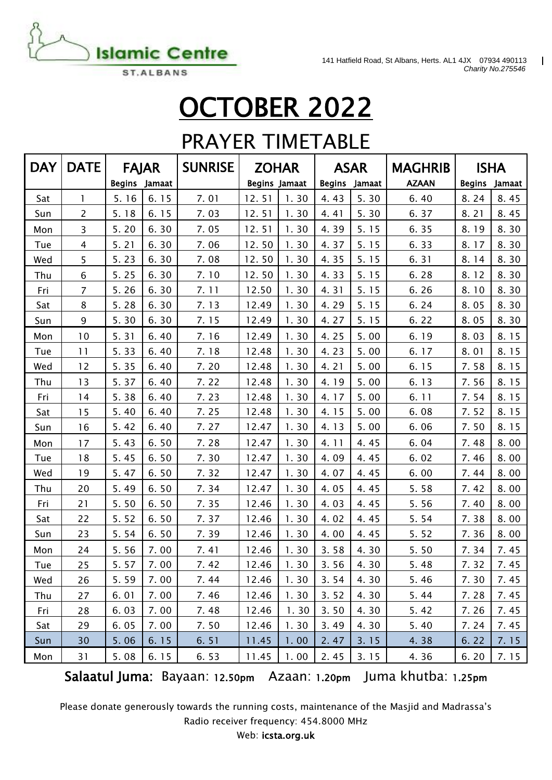

141 Hatfield Road, St Albans, Herts. AL1 4JX 07934 490113 *Charity No.275546*

 $\mathbf{I}$ 

## OCTOBER 2022

#### PRAYER TIMETABLE

| <b>DAY</b> | <b>DATE</b>    |               | <b>FAJAR</b> | <b>SUNRISE</b> |                      | <b>ZOHAR</b> |               | <b>ASAR</b> | <b>MAGHRIB</b> | <b>ISHA</b>   |        |
|------------|----------------|---------------|--------------|----------------|----------------------|--------------|---------------|-------------|----------------|---------------|--------|
|            |                | <b>Begins</b> | Jamaat       |                | <b>Begins Jamaat</b> |              | <b>Begins</b> | Jamaat      | <b>AZAAN</b>   | <b>Begins</b> | Jamaat |
| Sat        | $\mathbf{1}$   | 5.16          | 6.15         | 7.01           | 12.51                | 1.30         | 4.43          | 5.30        | 6.40           | 8.24          | 8.45   |
| Sun        | $\overline{2}$ | 5.18          | 6.15         | 7.03           | 12.51                | 1.30         | 4.41          | 5.30        | 6.37           | 8.21          | 8.45   |
| Mon        | $\overline{3}$ | 5.20          | 6.30         | 7.05           | 12.51                | 1.30         | 4.39          | 5.15        | 6.35           | 8.19          | 8.30   |
| Tue        | 4              | 5.21          | 6.30         | 7.06           | 12.50                | 1.30         | 4.37          | 5.15        | 6.33           | 8.17          | 8.30   |
| Wed        | 5              | 5.23          | 6.30         | 7.08           | 12.50                | 1.30         | 4.35          | 5.15        | 6.31           | 8.14          | 8.30   |
| Thu        | 6              | 5.25          | 6.30         | 7.10           | 12.50                | 1.30         | 4.33          | 5.15        | 6.28           | 8.12          | 8.30   |
| Fri        | $\overline{7}$ | 5.26          | 6.30         | 7.11           | 12.50                | 1.30         | 4.31          | 5.15        | 6.26           | 8.10          | 8.30   |
| Sat        | 8              | 5.28          | 6.30         | 7.13           | 12.49                | 1.30         | 4.29          | 5.15        | 6.24           | 8.05          | 8.30   |
| Sun        | 9              | 5.30          | 6.30         | 7.15           | 12.49                | 1.30         | 4.27          | 5.15        | 6.22           | 8.05          | 8.30   |
| Mon        | 10             | 5.31          | 6.40         | 7.16           | 12.49                | 1.30         | 4.25          | 5.00        | 6.19           | 8.03          | 8.15   |
| Tue        | 11             | 5.33          | 6.40         | 7.18           | 12.48                | 1.30         | 4.23          | 5.00        | 6.17           | 8.01          | 8.15   |
| Wed        | 12             | 5.35          | 6.40         | 7.20           | 12.48                | 1.30         | 4.21          | 5.00        | 6.15           | 7.58          | 8.15   |
| Thu        | 13             | 5.37          | 6.40         | 7.22           | 12.48                | 1.30         | 4.19          | 5.00        | 6.13           | 7.56          | 8.15   |
| Fri        | 14             | 5.38          | 6.40         | 7.23           | 12.48                | 1.30         | 4.17          | 5.00        | 6.11           | 7.54          | 8.15   |
| Sat        | 15             | 5.40          | 6.40         | 7.25           | 12.48                | 1.30         | 4.15          | 5.00        | 6.08           | 7.52          | 8.15   |
| Sun        | 16             | 5.42          | 6.40         | 7.27           | 12.47                | 1.30         | 4.13          | 5.00        | 6.06           | 7.50          | 8.15   |
| Mon        | 17             | 5.43          | 6.50         | 7.28           | 12.47                | 1.30         | 4.11          | 4.45        | 6.04           | 7.48          | 8.00   |
| Tue        | 18             | 5.45          | 6.50         | 7.30           | 12.47                | 1.30         | 4.09          | 4.45        | 6.02           | 7.46          | 8.00   |
| Wed        | 19             | 5.47          | 6.50         | 7.32           | 12.47                | 1.30         | 4.07          | 4.45        | 6.00           | 7.44          | 8.00   |
| Thu        | 20             | 5.49          | 6.50         | 7.34           | 12.47                | 1.30         | 4.05          | 4.45        | 5.58           | 7.42          | 8.00   |
| Fri        | 21             | 5.50          | 6.50         | 7.35           | 12.46                | 1.30         | 4.03          | 4.45        | 5.56           | 7.40          | 8.00   |
| Sat        | 22             | 5.52          | 6.50         | 7.37           | 12.46                | 1.30         | 4.02          | 4.45        | 5.54           | 7.38          | 8.00   |
| Sun        | 23             | 5.54          | 6.50         | 7.39           | 12.46                | 1.30         | 4.00          | 4.45        | 5.52           | 7.36          | 8.00   |
| Mon        | 24             | 5.56          | 7.00         | 7.41           | 12.46                | 1.30         | 3.58          | 4.30        | 5.50           | 7.34          | 7.45   |
| Tue        | 25             | 5.57          | 7.00         | 7.42           | 12.46                | 1.30         | 3.56          | 4.30        | 5.48           | 7.32          | 7.45   |
| Wed        | 26             | 5.59          | 7.00         | 7.44           | 12.46                | 1.30         | 3.54          | 4.30        | 5.46           | 7.30          | 7.45   |
| Thu        | 27             | 6.01          | 7.00         | 7.46           | 12.46                | 1.30         | 3.52          | 4.30        | 5.44           | 7.28          | 7.45   |
| Fri        | 28             | 6.03          | 7.00         | 7.48           | 12.46                | 1.30         | 3.50          | 4.30        | 5.42           | 7.26          | 7.45   |
| Sat        | 29             | 6.05          | 7.00         | 7.50           | 12.46                | 1.30         | 3.49          | 4.30        | 5.40           | 7.24          | 7.45   |
| Sun        | 30             | 5.06          | 6.15         | 6.51           | 11.45                | 1.00         | 2.47          | 3.15        | 4.38           | 6.22          | 7.15   |
| Mon        | 31             | 5.08          | 6.15         | 6.53           | 11.45                | 1.00         | 2.45          | 3.15        | 4.36           | 6.20          | 7.15   |

Salaatul Juma: Bayaan: 12.50pm Azaan: 1.20pm Juma khutba: 1.25pm

Please donate generously towards the running costs, maintenance of the Masjid and Madrassa's Radio receiver frequency: 454.8000 MHz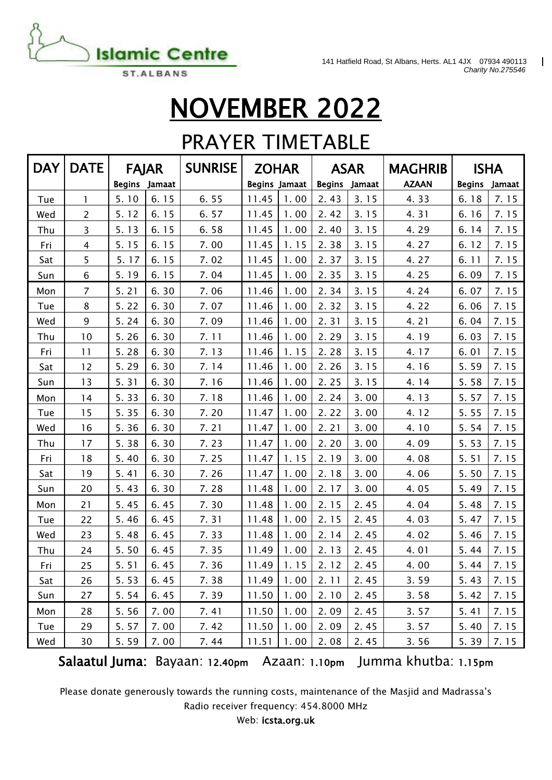

 $\overline{\mathbf{I}}$ 

## NOVEMBER 2022

#### PRAYER TIMETABLE

| <b>DAY</b> | <b>DATE</b>    | <b>FAJAR</b>  |        | <b>SUNRISE</b>                               |                      | <b>ZOHAR</b> |               | <b>ASAR</b> | <b>MAGHRIB</b>       | <b>ISHA</b>   |        |
|------------|----------------|---------------|--------|----------------------------------------------|----------------------|--------------|---------------|-------------|----------------------|---------------|--------|
|            |                | <b>Begins</b> | Jamaat |                                              | <b>Begins Jamaat</b> |              | <b>Begins</b> | Jamaat      | <b>AZAAN</b>         | <b>Begins</b> | Jamaat |
| Tue        | $\mathbf{1}$   | 5.10          | 6.15   | 6.55                                         | 11.45                | 1.00         | 2.43          | 3.15        | 4.33                 | 6.18          | 7.15   |
| Wed        | $\overline{2}$ | 5.12          | 6.15   | 6.57                                         | 11.45                | 1.00         | 2.42          | 3.15        | 4.31                 | 6.16          | 7.15   |
| Thu        | 3              | 5.13          | 6.15   | 6.58                                         | 11.45                | 1.00         | 2.40          | 3.15        | 4.29                 | 6.14          | 7.15   |
| Fri        | 4              | 5.15          | 6.15   | 7.00                                         | 11.45                | 1.15         | 2.38          | 3.15        | 4.27                 | 6.12          | 7.15   |
| Sat        | 5              | 5.17          | 6.15   | 7.02                                         | 11.45                | 1.00         | 2.37          | 3.15        | 4.27                 | 6.11          | 7.15   |
| Sun        | 6              | 5.19          | 6.15   | 7.04                                         | 11.45                | 1.00         | 2.35          | 3.15        | 4.25                 | 6.09          | 7.15   |
| Mon        | $\overline{7}$ | 5.21          | 6.30   | 7.06                                         | 11.46                | 1.00         | 2.34          | 3.15        | 4.24                 | 6.07          | 7.15   |
| Tue        | 8              | 5.22          | 6.30   | 7.07                                         | 11.46                | 1.00         | 2.32          | 3.15        | 4.22                 | 6.06          | 7.15   |
| Wed        | 9              | 5.24          | 6.30   | 7.09                                         | 11.46                | 1.00         | 2.31          | 3.15        | 4.21                 | 6.04          | 7.15   |
| Thu        | 10             | 5.26          | 6.30   | 7.11                                         | 11.46                | 1.00         | 2.29          | 3.15        | 4.19                 | 6.03          | 7.15   |
| Fri        | 11             | 5.28          | 6.30   | 7.13                                         | 11.46                | 1.15         | 2.28          | 3.15        | 4.17                 | 6.01          | 7.15   |
| Sat        | 12             | 5.29          | 6.30   | 7.14                                         | 11.46                | 1.00         | 2.26          | 3.15        | 4.16                 | 5.59          | 7.15   |
| Sun        | 13             | 5.31          | 6.30   | 7.16                                         | 11.46                | 1.00         | 2.25          | 3.15        | 4.14                 | 5.58          | 7.15   |
| Mon        | 14             | 5.33          | 6.30   | 7.18                                         | 11.46                | 1.00         | 2.24          | 3.00        | 4.13                 | 5.57          | 7.15   |
| Tue        | 15             | 5.35          | 6.30   | 7.20                                         | 11.47                | 1.00         | 2.22          | 3.00        | 4.12                 | 5.55          | 7.15   |
| Wed        | 16             | 5.36          | 6.30   | 7.21                                         | 11.47                | 1.00         | 2.21          | 3.00        | 4.10                 | 5.54          | 7.15   |
| Thu        | 17             | 5.38          | 6.30   | 7.23                                         | 11.47                | 1.00         | 2.20          | 3.00        | 4.09                 | 5.53          | 7.15   |
| Fri        | 18             | 5.40          | 6.30   | 7.25                                         | 11.47                | 1.15         | 2.19          | 3.00        | 4.08                 | 5.51          | 7.15   |
| Sat        | 19             | 5.41          | 6.30   | 7.26                                         | 11.47                | 1.00         | 2.18          | 3.00        | 4.06                 | 5.50          | 7.15   |
| Sun        | 20             | 5.43          | 6.30   | 7.28                                         | 11.48                | 1.00         | 2.17          | 3.00        | 4.05                 | 5.49          | 7.15   |
| Mon        | 21             | 5.45          | 6.45   | 7.30                                         | 11.48                | 1.00         | 2.15          | 2.45        | 4.04                 | 5.48          | 7.15   |
| Tue        | 22             | 5.46          | 6.45   | 7.31                                         | 11.48                | 1.00         | 2.15          | 2.45        | 4.03                 | 5.47          | 7.15   |
| Wed        | 23             | 5.48          | 6.45   | 7.33                                         | 11.48                | 1.00         | 2.14          | 2.45        | 4.02                 | 5.46          | 7.15   |
| Thu        | 24             | 5.50          | 6.45   | 7.35                                         | 11.49                | 1.00         | 2.13          | 2.45        | 4.01                 | 5.44          | 7.15   |
| Fri        | 25             | 5.51          | 6.45   | 7.36                                         | 11.49                | 1.15         | 2.12          | 2.45        | 4.00                 | 5.44          | 7.15   |
| Sat        | 26             | 5.53          | 6.45   | 7.38                                         | 11.49                | 1.00         | 2.11          | 2.45        | 3.59                 | 5.43          | 7.15   |
| Sun        | 27             | 5.54          | 6.45   | 7.39                                         | 11.50                | 1.00         | 2.10          | 2.45        | 3.58                 | 5.42          | 7.15   |
| Mon        | 28             | 5.56          | 7.00   | 7.41                                         | 11.50                | 1.00         | 2.09          | 2.45        | 3.57                 | 5.41          | 7.15   |
| Tue        | 29             | 5.57          | 7.00   | 7.42                                         | 11.50                | 1.00         | 2.09          | 2.45        | 3.57                 | 5.40          | 7.15   |
| Wed        | 30             | 5.59          | 7.00   | 7.44                                         | 11.51                | 1.00         | 2.08          | 2.45        | 3.56                 | 5.39          | 7.15   |
|            |                |               |        | Salaatul Juma: Bayaan: 12.40pm Azaan: 1.10pm |                      |              |               |             | Jumma khutba: 1.15pm |               |        |

Please donate generously towards the running costs, maintenance of the Masjid and Madrassa's Radio receiver frequency: 454.8000 MHz